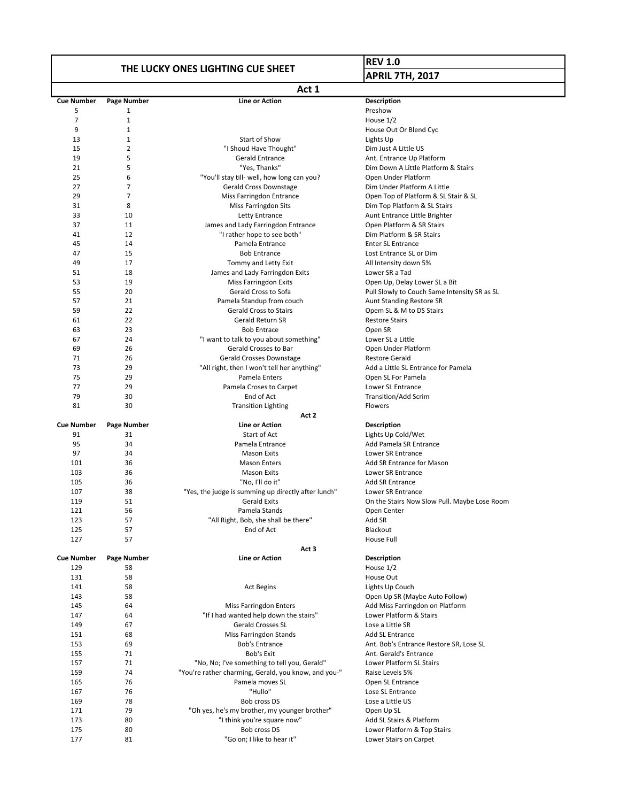## **THE LUCKY ONES LIGHTING CUE SHEET**

## **REV 1.0 APRIL 7TH, 2017**

|                   | Act 1        |                                                            |                                                                               |  |  |
|-------------------|--------------|------------------------------------------------------------|-------------------------------------------------------------------------------|--|--|
| <b>Cue Number</b> | Page Number  | <b>Line or Action</b>                                      | <b>Description</b>                                                            |  |  |
| 5                 | 1            |                                                            | Preshow                                                                       |  |  |
| $\overline{7}$    | $\mathbf{1}$ |                                                            | House 1/2                                                                     |  |  |
| 9                 | $\mathbf{1}$ |                                                            | House Out Or Blend Cyc                                                        |  |  |
| 13                | $\mathbf{1}$ | Start of Show                                              | Lights Up                                                                     |  |  |
| 15<br>19          | 2<br>5       | "I Shoud Have Thought"<br><b>Gerald Entrance</b>           | Dim Just A Little US                                                          |  |  |
| 21                | 5            | "Yes, Thanks"                                              | Ant. Entrance Up Platform<br>Dim Down A Little Platform & Stairs              |  |  |
| 25                | 6            | "You'll stay till- well, how long can you?                 | Open Under Platform                                                           |  |  |
| 27                | 7            | Gerald Cross Downstage                                     | Dim Under Platform A Little                                                   |  |  |
| 29                | 7            | Miss Farringdon Entrance                                   | Open Top of Platform & SL Stair & SL                                          |  |  |
| 31                | 8            | <b>Miss Farringdon Sits</b>                                | Dim Top Platform & SL Stairs                                                  |  |  |
| 33                | 10           | Letty Entrance                                             | Aunt Entrance Little Brighter                                                 |  |  |
| 37                | 11           | James and Lady Farringdon Entrance                         | Open Platform & SR Stairs                                                     |  |  |
| 41                | 12           | "I rather hope to see both"                                | Dim Platform & SR Stairs                                                      |  |  |
| 45                | 14           | Pamela Entrance                                            | <b>Enter SL Entrance</b>                                                      |  |  |
| 47                | 15           | <b>Bob Entrance</b>                                        | Lost Entrance SL or Dim                                                       |  |  |
| 49                | 17           | Tommy and Letty Exit                                       | All Intensity down 5%                                                         |  |  |
| 51                | 18           | James and Lady Farringdon Exits                            | Lower SR a Tad                                                                |  |  |
| 53<br>55          | 19<br>20     | Miss Farringdon Exits<br>Gerald Cross to Sofa              | Open Up, Delay Lower SL a Bit<br>Pull Slowly to Couch Same Intensity SR as SL |  |  |
| 57                | 21           | Pamela Standup from couch                                  | Aunt Standing Restore SR                                                      |  |  |
| 59                | 22           | <b>Gerald Cross to Stairs</b>                              | Opem SL & M to DS Stairs                                                      |  |  |
| 61                | 22           | Gerald Return SR                                           | <b>Restore Stairs</b>                                                         |  |  |
| 63                | 23           | <b>Bob Entrace</b>                                         | Open SR                                                                       |  |  |
| 67                | 24           | "I want to talk to you about something"                    | Lower SL a Little                                                             |  |  |
| 69                | 26           | Gerald Crosses to Bar                                      | Open Under Platform                                                           |  |  |
| 71                | 26           | <b>Gerald Crosses Downstage</b>                            | <b>Restore Gerald</b>                                                         |  |  |
| 73                | 29           | "All right, then I won't tell her anything"                | Add a Little SL Entrance for Pamela                                           |  |  |
| 75                | 29           | Pamela Enters                                              | Open SL For Pamela                                                            |  |  |
| 77                | 29           | Pamela Croses to Carpet                                    | Lower SL Entrance                                                             |  |  |
| 79                | 30           | End of Act                                                 | <b>Transition/Add Scrim</b>                                                   |  |  |
| 81                | 30           | <b>Transition Lighting</b>                                 | Flowers                                                                       |  |  |
| <b>Cue Number</b> | Page Number  | Act 2<br>Line or Action                                    | <b>Description</b>                                                            |  |  |
| 91                | 31           | Start of Act                                               | Lights Up Cold/Wet                                                            |  |  |
| 95                | 34           | Pamela Entrance                                            | Add Pamela SR Entrance                                                        |  |  |
| 97                | 34           | <b>Mason Exits</b>                                         | Lower SR Entrance                                                             |  |  |
| 101               | 36           | <b>Mason Enters</b>                                        | Add SR Entrance for Mason                                                     |  |  |
| 103               | 36           | <b>Mason Exits</b>                                         | Lower SR Entrance                                                             |  |  |
| 105               | 36           | "No, I'll do it"                                           | <b>Add SR Entrance</b>                                                        |  |  |
| 107               | 38           | "Yes, the judge is summing up directly after lunch"        | Lower SR Entrance                                                             |  |  |
| 119               | 51           | <b>Gerald Exits</b>                                        | On the Stairs Now Slow Pull. Maybe Lose Room                                  |  |  |
| 121               | 56           | Pamela Stands                                              | Open Center                                                                   |  |  |
| 123               | 57           | "All Right, Bob, she shall be there"                       | Add SR                                                                        |  |  |
| 125               | 57           | End of Act                                                 | Blackout                                                                      |  |  |
| 127               | 57           | House Full<br>Act 3                                        |                                                                               |  |  |
| <b>Cue Number</b> | Page Number  | Line or Action                                             | <b>Description</b>                                                            |  |  |
| 129               | 58           |                                                            | House 1/2                                                                     |  |  |
| 131               | 58           |                                                            | House Out                                                                     |  |  |
| 141               | 58           | <b>Act Begins</b>                                          | Lights Up Couch                                                               |  |  |
| 143               | 58           |                                                            | Open Up SR (Maybe Auto Follow)                                                |  |  |
| 145               | 64           | <b>Miss Farringdon Enters</b>                              | Add Miss Farringdon on Platform                                               |  |  |
| 147               | 64           | "If I had wanted help down the stairs"                     | Lower Platform & Stairs                                                       |  |  |
| 149               | 67           | <b>Gerald Crosses SL</b>                                   | Lose a Little SR                                                              |  |  |
| 151               | 68           | Miss Farringdon Stands                                     | Add SL Entrance                                                               |  |  |
| 153               | 69           | <b>Bob's Entrance</b>                                      | Ant. Bob's Entrance Restore SR, Lose SL                                       |  |  |
| 155<br>157        | 71<br>71     | Bob's Exit<br>"No, No; I've something to tell you, Gerald" | Ant. Gerald's Entrance<br>Lower Platform SL Stairs                            |  |  |
| 159               | 74           | "You're rather charming, Gerald, you know, and you-"       | Raise Levels 5%                                                               |  |  |
| 165               | 76           | Pamela moves SL                                            | Open SL Entrance                                                              |  |  |
| 167               | 76           | "Hullo"                                                    | Lose SL Entrance                                                              |  |  |
| 169               | 78           | Bob cross DS                                               | Lose a Little US                                                              |  |  |
| 171               | 79           | "Oh yes, he's my brother, my younger brother"              | Open Up SL                                                                    |  |  |
| 173               | 80           | "I think you're square now"                                | Add SL Stairs & Platform                                                      |  |  |
| 175               | 80           | Bob cross DS                                               | Lower Platform & Top Stairs                                                   |  |  |
| 177               | 81           | "Go on; I like to hear it"                                 | Lower Stairs on Carpet                                                        |  |  |